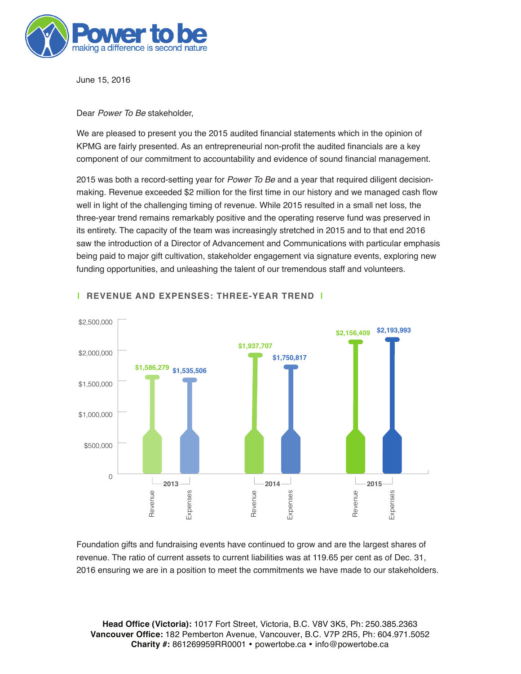

June 15, 2016

### Dear *Power To Be* stakeholder,

We are pleased to present you the 2015 audited financial statements which in the opinion of KPMG are fairly presented. As an entrepreneurial non-profit the audited financials are a key component of our commitment to accountability and evidence of sound financial management.

2015 was both a record-setting year for *Power To Be* and a year that required diligent decisionmaking. Revenue exceeded \$2 million for the first time in our history and we managed cash flow well in light of the challenging timing of revenue. While 2015 resulted in a small net loss, the three-year trend remains remarkably positive and the operating reserve fund was preserved in its entirety. The capacity of the team was increasingly stretched in 2015 and to that end 2016 saw the introduction of a Director of Advancement and Communications with particular emphasis being paid to major gift cultivation, stakeholder engagement via signature events, exploring new funding opportunities, and unleashing the talent of our tremendous staff and volunteers.



### **| REVENUE AND EXPENSES: THREE-YEAR TREND |**

Foundation gifts and fundraising events have continued to grow and are the largest shares of revenue. The ratio of current assets to current liabilities was at 119.65 per cent as of Dec. 31, 2016 ensuring we are in a position to meet the commitments we have made to our stakeholders.

**Head Office (Victoria):** 1017 Fort Street, Victoria, B.C. V8V 3K5, Ph: 250.385.2363 **Vancouver Office:** 182 Pemberton Avenue, Vancouver, B.C. V7P 2R5, Ph: 604.971.5052 Charity #: 861269959RR0001 • powertobe.ca • info@powertobe.ca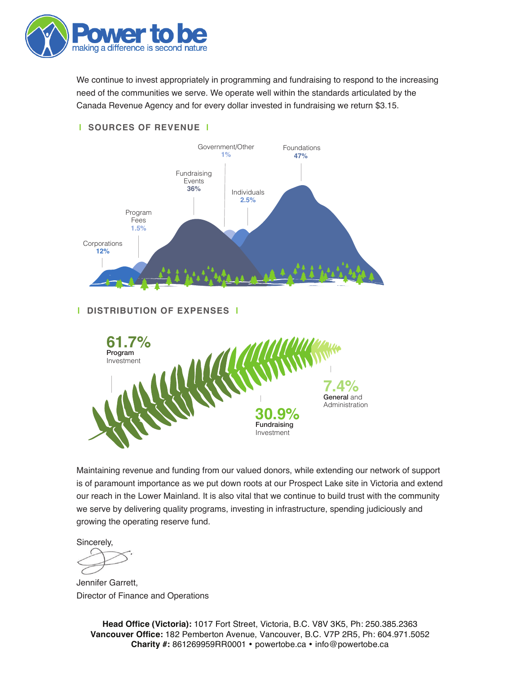

We continue to invest appropriately in programming and fundraising to respond to the increasing need of the communities we serve. We operate well within the standards articulated by the Canada Revenue Agency and for every dollar invested in fundraising we return \$3.15.

### **| SOURCES OF REVENUE |**



### **| DISTRIBUTION OF EXPENSES |**



Maintaining revenue and funding from our valued donors, while extending our network of support is of paramount importance as we put down roots at our Prospect Lake site in Victoria and extend our reach in the Lower Mainland. It is also vital that we continue to build trust with the community we serve by delivering quality programs, investing in infrastructure, spending judiciously and growing the operating reserve fund.

Sincerely,

Jennifer Garrett, Director of Finance and Operations

**Head Office (Victoria):** 1017 Fort Street, Victoria, B.C. V8V 3K5, Ph: 250.385.2363 **Vancouver Office:** 182 Pemberton Avenue, Vancouver, B.C. V7P 2R5, Ph: 604.971.5052 Charity #: 861269959RR0001 • powertobe.ca • info@powertobe.ca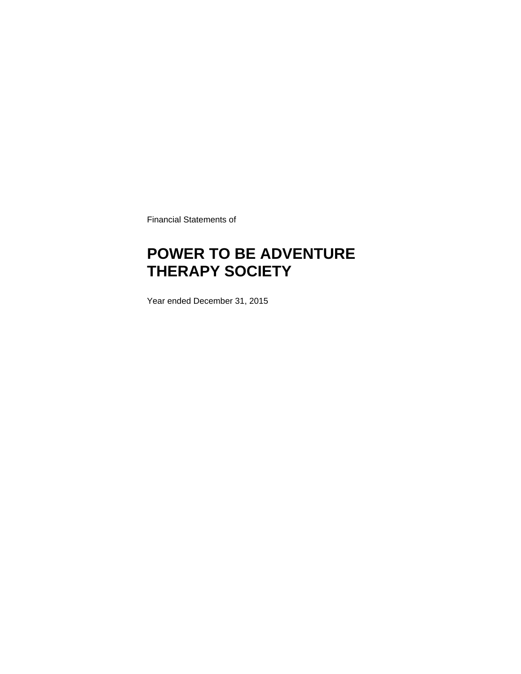Financial Statements of

### **POWER TO BE ADVENTURE THERAPY SOCIETY**

Year ended December 31, 2015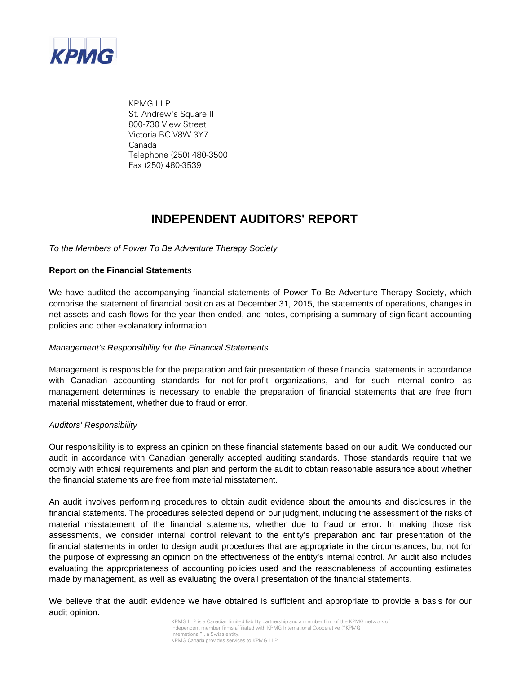

KPMG LLP St. Andrew's Square II 800-730 View Street Victoria BC V8W 3Y7 Canada Telephone (250) 480-3500 Fax (250) 480-3539

### **INDEPENDENT AUDITORS' REPORT**

*To the Members of Power To Be Adventure Therapy Society*

### **Report on the Financial Statement**s

We have audited the accompanying financial statements of Power To Be Adventure Therapy Society, which comprise the statement of financial position as at December 31, 2015, the statements of operations, changes in net assets and cash flows for the year then ended, and notes, comprising a summary of significant accounting policies and other explanatory information.

#### *Management's Responsibility for the Financial Statements*

Management is responsible for the preparation and fair presentation of these financial statements in accordance with Canadian accounting standards for not-for-profit organizations, and for such internal control as management determines is necessary to enable the preparation of financial statements that are free from material misstatement, whether due to fraud or error.

#### *Auditors' Responsibility*

Our responsibility is to express an opinion on these financial statements based on our audit. We conducted our audit in accordance with Canadian generally accepted auditing standards. Those standards require that we comply with ethical requirements and plan and perform the audit to obtain reasonable assurance about whether the financial statements are free from material misstatement.

An audit involves performing procedures to obtain audit evidence about the amounts and disclosures in the financial statements. The procedures selected depend on our judgment, including the assessment of the risks of material misstatement of the financial statements, whether due to fraud or error. In making those risk assessments, we consider internal control relevant to the entity's preparation and fair presentation of the financial statements in order to design audit procedures that are appropriate in the circumstances, but not for the purpose of expressing an opinion on the effectiveness of the entity's internal control. An audit also includes evaluating the appropriateness of accounting policies used and the reasonableness of accounting estimates made by management, as well as evaluating the overall presentation of the financial statements.

We believe that the audit evidence we have obtained is sufficient and appropriate to provide a basis for our audit opinion.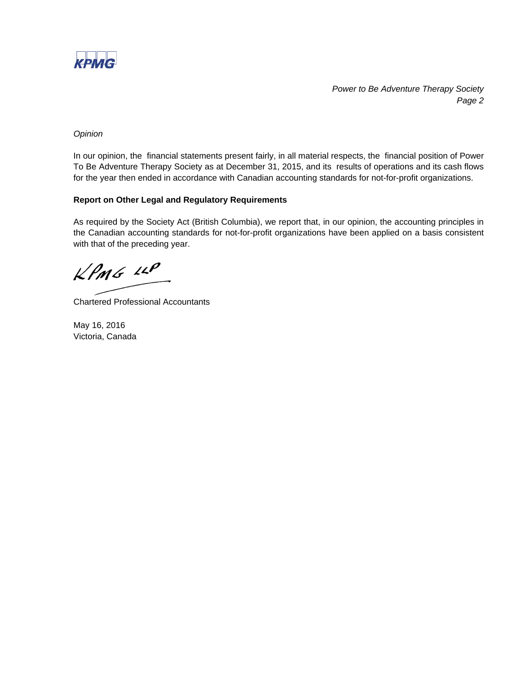

*Power to Be Adventure Therapy Society Page 2*

#### *Opinion*

In our opinion, the financial statements present fairly, in all material respects, the financial position of Power To Be Adventure Therapy Society as at December 31, 2015, and its results of operations and its cash flows for the year then ended in accordance with Canadian accounting standards for not-for-profit organizations.

### **Report on Other Legal and Regulatory Requirements**

As required by the Society Act (British Columbia), we report that, in our opinion, the accounting principles in the Canadian accounting standards for not-for-profit organizations have been applied on a basis consistent with that of the preceding year.

 $kPMS$  11P

Chartered Professional Accountants

May 16, 2016 Victoria, Canada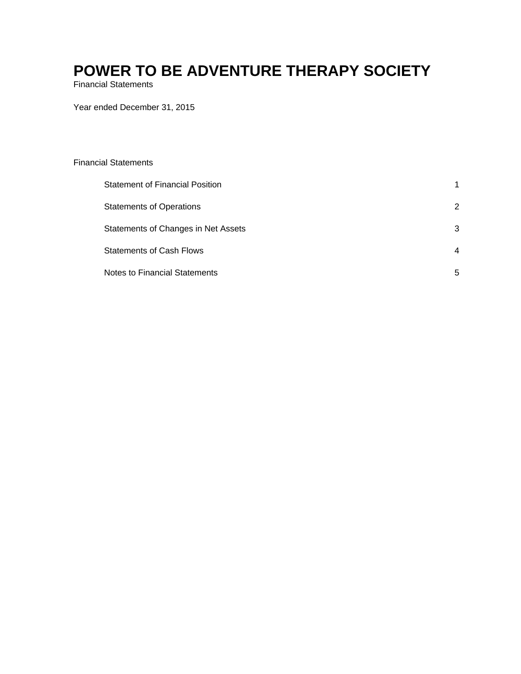Financial Statements

Year ended December 31, 2015

#### Financial Statements

| <b>Statement of Financial Position</b> | 1 |
|----------------------------------------|---|
| <b>Statements of Operations</b>        | 2 |
| Statements of Changes in Net Assets    | 3 |
| <b>Statements of Cash Flows</b>        | 4 |
| <b>Notes to Financial Statements</b>   | 5 |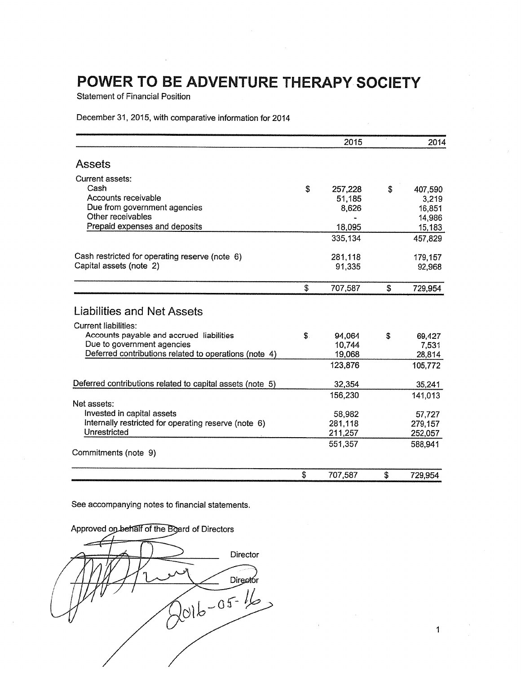**Statement of Financial Position** 

December 31, 2015, with comparative information for 2014

|                                                           |    | 2015    | 2014          |
|-----------------------------------------------------------|----|---------|---------------|
| <b>Assets</b>                                             |    |         |               |
| Current assets:                                           |    |         |               |
| Cash                                                      | \$ | 257,228 | \$<br>407,590 |
| Accounts receivable                                       |    | 51,185  | 3,219         |
| Due from government agencies                              |    | 8,626   | 16,851        |
| Other receivables                                         |    |         | 14,986        |
| Prepaid expenses and deposits                             |    | 18,095  | 15,183        |
|                                                           |    | 335,134 | 457,829       |
| Cash restricted for operating reserve (note 6)            |    | 281,118 | 179,157       |
| Capital assets (note 2)                                   |    | 91,335  | 92,968        |
|                                                           | S  | 707,587 | \$<br>729,954 |
| Liabilities and Net Assets                                |    |         |               |
|                                                           |    |         |               |
| <b>Current liabilities:</b>                               |    |         |               |
| Accounts payable and accrued liabilities                  | S  | 94.064  | \$<br>69,427  |
| Due to government agencies                                |    | 10,744  | 7,531         |
| Deferred contributions related to operations (note 4)     |    | 19,068  | 28,814        |
|                                                           |    | 123,876 | 105,772       |
| Deferred contributions related to capital assets (note 5) |    | 32,354  | 35,241        |
|                                                           |    | 156,230 | 141,013       |
| Net assets:                                               |    |         |               |
| Invested in capital assets                                |    | 58,982  | 57,727        |
| Internally restricted for operating reserve (note 6)      |    | 281,118 | 279,157       |
| Unrestricted                                              |    | 211,257 | 252,057       |
|                                                           |    | 551,357 | 588,941       |
| Commitments (note 9)                                      |    |         |               |
|                                                           | \$ | 707,587 | \$<br>729,954 |

See accompanying notes to financial statements.



 $\mathbf{1}$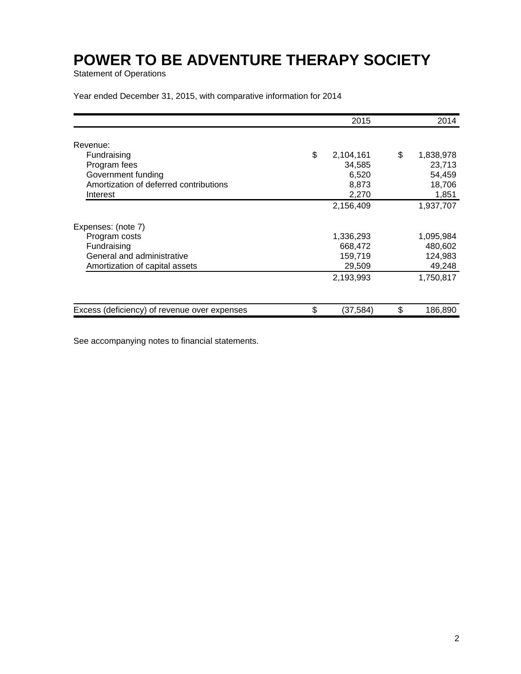Statement of Operations

Year ended December 31, 2015, with comparative information for 2014

|                                              | 2015            | 2014            |
|----------------------------------------------|-----------------|-----------------|
| Revenue:                                     |                 |                 |
| Fundraising                                  | \$<br>2,104,161 | \$<br>1,838,978 |
| Program fees                                 | 34,585          | 23,713          |
| Government funding                           | 6,520           |                 |
|                                              |                 | 54,459          |
| Amortization of deferred contributions       | 8,873           | 18,706          |
| Interest                                     | 2,270           | 1,851           |
|                                              | 2,156,409       | 1,937,707       |
| Expenses: (note 7)                           |                 |                 |
| Program costs                                | 1,336,293       | 1,095,984       |
| Fundraising                                  | 668,472         | 480,602         |
| General and administrative                   | 159,719         | 124,983         |
| Amortization of capital assets               | 29,509          | 49,248          |
|                                              | 2,193,993       | 1,750,817       |
|                                              |                 |                 |
| Excess (deficiency) of revenue over expenses | \$<br>(37,584)  | \$<br>186,890   |

See accompanying notes to financial statements.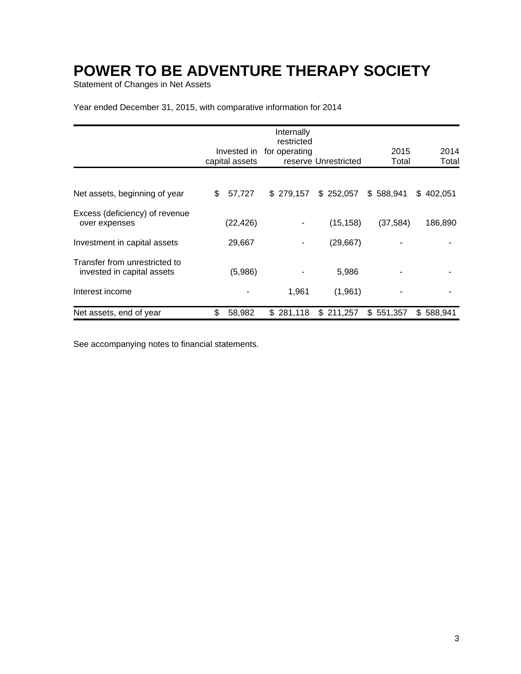Statement of Changes in Net Assets

Year ended December 31, 2015, with comparative information for 2014

|                                                             |                | Internally<br>restricted |                      |           |           |
|-------------------------------------------------------------|----------------|--------------------------|----------------------|-----------|-----------|
|                                                             | Invested in    | for operating            |                      | 2015      | 2014      |
|                                                             | capital assets |                          | reserve Unrestricted | Total     | Total     |
| Net assets, beginning of year                               | \$<br>57,727   | \$279,157                | \$252,057            | \$588,941 | \$402,051 |
|                                                             |                |                          |                      |           |           |
| Excess (deficiency) of revenue<br>over expenses             | (22, 426)      | ٠                        | (15, 158)            | (37, 584) | 186,890   |
| Investment in capital assets                                | 29,667         |                          | (29, 667)            |           |           |
| Transfer from unrestricted to<br>invested in capital assets | (5,986)        |                          | 5,986                |           |           |
| Interest income                                             |                | 1,961                    | (1,961)              |           |           |
| Net assets, end of year                                     | \$<br>58,982   | \$281,118                | \$211,257            | \$551,357 | \$588,941 |

See accompanying notes to financial statements.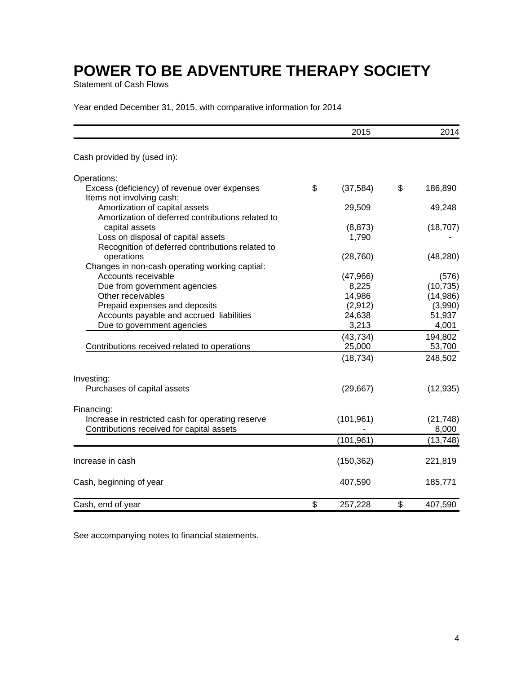Statement of Cash Flows

Year ended December 31, 2015, with comparative information for 2014

|                                                                                        | 2015            | 2014          |
|----------------------------------------------------------------------------------------|-----------------|---------------|
| Cash provided by (used in):                                                            |                 |               |
| Operations:                                                                            |                 |               |
| Excess (deficiency) of revenue over expenses<br>Items not involving cash:              | \$<br>(37, 584) | \$<br>186,890 |
| Amortization of capital assets<br>Amortization of deferred contributions related to    | 29,509          | 49,248        |
| capital assets                                                                         | (8, 873)        | (18, 707)     |
| Loss on disposal of capital assets<br>Recognition of deferred contributions related to | 1,790           |               |
| operations<br>Changes in non-cash operating working captial:                           | (28, 760)       | (48, 280)     |
| Accounts receivable                                                                    | (47, 966)       | (576)         |
| Due from government agencies                                                           | 8,225           | (10, 735)     |
| Other receivables                                                                      | 14,986          | (14,986)      |
| Prepaid expenses and deposits                                                          | (2,912)         | (3,990)       |
| Accounts payable and accrued liabilities                                               | 24,638          | 51,937        |
| Due to government agencies                                                             | 3,213           | 4,001         |
|                                                                                        | (43, 734)       | 194,802       |
| Contributions received related to operations                                           | 25,000          | 53,700        |
|                                                                                        | (18, 734)       | 248,502       |
| Investing:                                                                             |                 |               |
| Purchases of capital assets                                                            | (29, 667)       | (12, 935)     |
| Financing:                                                                             |                 |               |
| Increase in restricted cash for operating reserve                                      | (101, 961)      | (21, 748)     |
| Contributions received for capital assets                                              |                 | 8,000         |
|                                                                                        | (101, 961)      | (13, 748)     |
| Increase in cash                                                                       | (150, 362)      | 221,819       |
| Cash, beginning of year                                                                | 407,590         | 185,771       |
| Cash, end of year                                                                      | \$<br>257,228   | \$<br>407,590 |

See accompanying notes to financial statements.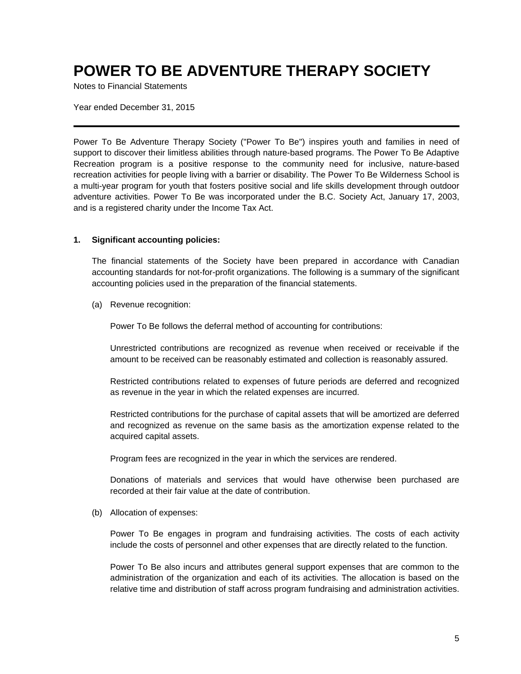Notes to Financial Statements

Year ended December 31, 2015

Power To Be Adventure Therapy Society ("Power To Be") inspires youth and families in need of support to discover their limitless abilities through nature-based programs. The Power To Be Adaptive Recreation program is a positive response to the community need for inclusive, nature-based recreation activities for people living with a barrier or disability. The Power To Be Wilderness School is a multi-year program for youth that fosters positive social and life skills development through outdoor adventure activities. Power To Be was incorporated under the B.C. Society Act, January 17, 2003, and is a registered charity under the Income Tax Act.

### **1. Significant accounting policies:**

The financial statements of the Society have been prepared in accordance with Canadian accounting standards for not-for-profit organizations. The following is a summary of the significant accounting policies used in the preparation of the financial statements.

(a) Revenue recognition:

Power To Be follows the deferral method of accounting for contributions:

Unrestricted contributions are recognized as revenue when received or receivable if the amount to be received can be reasonably estimated and collection is reasonably assured.

Restricted contributions related to expenses of future periods are deferred and recognized as revenue in the year in which the related expenses are incurred.

Restricted contributions for the purchase of capital assets that will be amortized are deferred and recognized as revenue on the same basis as the amortization expense related to the acquired capital assets.

Program fees are recognized in the year in which the services are rendered.

Donations of materials and services that would have otherwise been purchased are recorded at their fair value at the date of contribution.

(b) Allocation of expenses:

Power To Be engages in program and fundraising activities. The costs of each activity include the costs of personnel and other expenses that are directly related to the function.

Power To Be also incurs and attributes general support expenses that are common to the administration of the organization and each of its activities. The allocation is based on the relative time and distribution of staff across program fundraising and administration activities.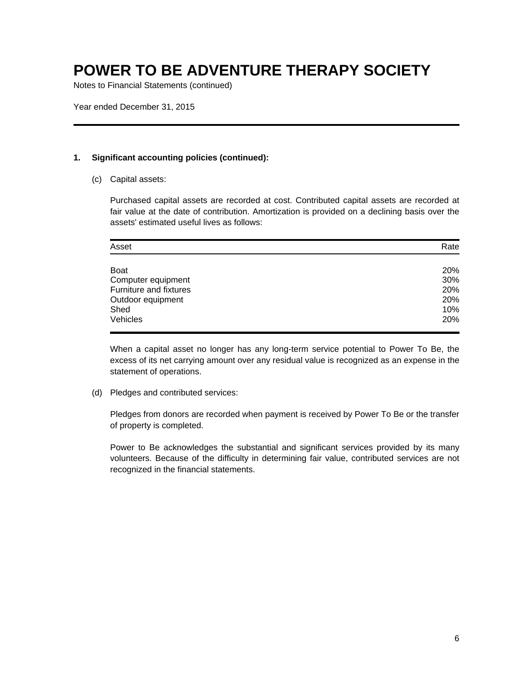Notes to Financial Statements (continued)

Year ended December 31, 2015

#### **1. Significant accounting policies (continued):**

(c) Capital assets:

Purchased capital assets are recorded at cost. Contributed capital assets are recorded at fair value at the date of contribution. Amortization is provided on a declining basis over the assets' estimated useful lives as follows:

| Asset                  | Rate |
|------------------------|------|
| <b>Boat</b>            | 20%  |
| Computer equipment     | 30%  |
| Furniture and fixtures | 20%  |
| Outdoor equipment      | 20%  |
| Shed                   | 10%  |
| Vehicles               | 20%  |

When a capital asset no longer has any long-term service potential to Power To Be, the excess of its net carrying amount over any residual value is recognized as an expense in the statement of operations.

(d) Pledges and contributed services:

Pledges from donors are recorded when payment is received by Power To Be or the transfer of property is completed.

Power to Be acknowledges the substantial and significant services provided by its many volunteers. Because of the difficulty in determining fair value, contributed services are not recognized in the financial statements.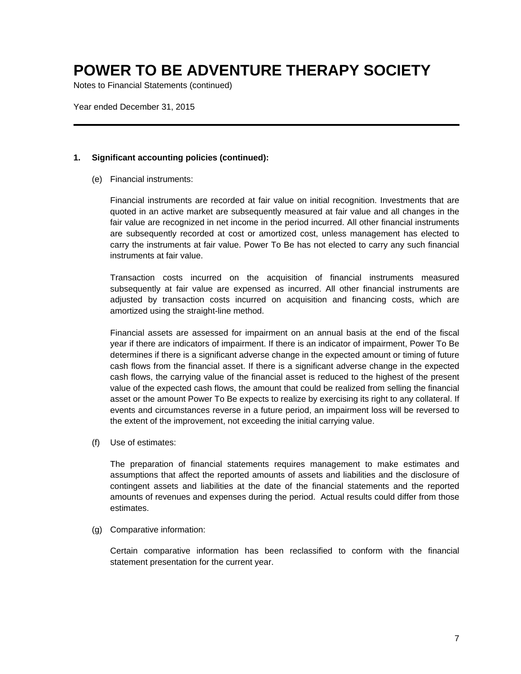Notes to Financial Statements (continued)

Year ended December 31, 2015

#### **1. Significant accounting policies (continued):**

(e) Financial instruments:

Financial instruments are recorded at fair value on initial recognition. Investments that are quoted in an active market are subsequently measured at fair value and all changes in the fair value are recognized in net income in the period incurred. All other financial instruments are subsequently recorded at cost or amortized cost, unless management has elected to carry the instruments at fair value. Power To Be has not elected to carry any such financial instruments at fair value.

Transaction costs incurred on the acquisition of financial instruments measured subsequently at fair value are expensed as incurred. All other financial instruments are adjusted by transaction costs incurred on acquisition and financing costs, which are amortized using the straight-line method.

Financial assets are assessed for impairment on an annual basis at the end of the fiscal year if there are indicators of impairment. If there is an indicator of impairment, Power To Be determines if there is a significant adverse change in the expected amount or timing of future cash flows from the financial asset. If there is a significant adverse change in the expected cash flows, the carrying value of the financial asset is reduced to the highest of the present value of the expected cash flows, the amount that could be realized from selling the financial asset or the amount Power To Be expects to realize by exercising its right to any collateral. If events and circumstances reverse in a future period, an impairment loss will be reversed to the extent of the improvement, not exceeding the initial carrying value.

(f) Use of estimates:

The preparation of financial statements requires management to make estimates and assumptions that affect the reported amounts of assets and liabilities and the disclosure of contingent assets and liabilities at the date of the financial statements and the reported amounts of revenues and expenses during the period. Actual results could differ from those estimates.

(g) Comparative information:

Certain comparative information has been reclassified to conform with the financial statement presentation for the current year.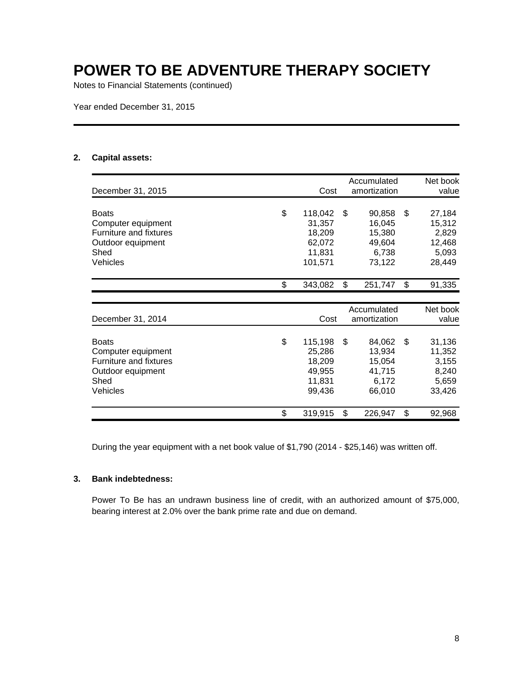Notes to Financial Statements (continued)

Year ended December 31, 2015

### **2. Capital assets:**

|                                                    |                  | Accumulated      | Net book        |
|----------------------------------------------------|------------------|------------------|-----------------|
| December 31, 2015                                  | Cost             | amortization     | value           |
| <b>Boats</b>                                       | \$<br>118,042    | \$<br>90,858     | \$<br>27,184    |
| Computer equipment                                 | 31,357           | 16,045           | 15,312          |
| <b>Furniture and fixtures</b><br>Outdoor equipment | 18,209<br>62,072 | 15,380<br>49,604 | 2,829<br>12,468 |
| Shed                                               | 11,831           | 6,738            | 5,093           |
| Vehicles                                           | 101,571          | 73,122           | 28,449          |
|                                                    | \$<br>343,082    | \$<br>251,747    | \$<br>91,335    |
|                                                    |                  |                  |                 |
|                                                    |                  | Accumulated      | Net book        |
| December 31, 2014                                  | Cost             | amortization     | value           |
| <b>Boats</b>                                       | \$<br>115,198    | \$<br>84,062     | \$<br>31,136    |
| Computer equipment                                 | 25,286           | 13,934           | 11,352          |
| Furniture and fixtures                             | 18,209           | 15,054           | 3,155           |
| Outdoor equipment                                  | 49,955           | 41,715           | 8,240           |
| Shed                                               | 11,831           | 6,172            | 5,659           |
| Vehicles                                           | 99,436           | 66,010           | 33,426          |
|                                                    | \$<br>319,915    | \$<br>226,947    | \$<br>92,968    |

During the year equipment with a net book value of \$1,790 (2014 - \$25,146) was written off.

### **3. Bank indebtedness:**

Power To Be has an undrawn business line of credit, with an authorized amount of \$75,000, bearing interest at 2.0% over the bank prime rate and due on demand.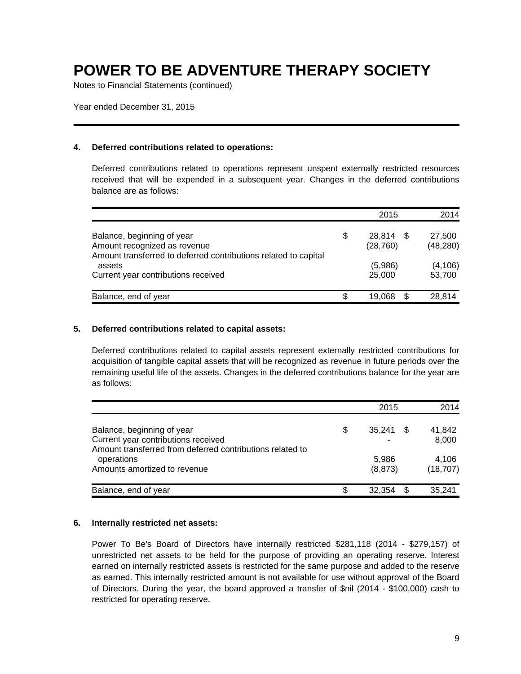Notes to Financial Statements (continued)

Year ended December 31, 2015

### **4. Deferred contributions related to operations:**

Deferred contributions related to operations represent unspent externally restricted resources received that will be expended in a subsequent year. Changes in the deferred contributions balance are as follows:

|                                                                                                                               |    | 2015                   | 2014                |
|-------------------------------------------------------------------------------------------------------------------------------|----|------------------------|---------------------|
| Balance, beginning of year<br>Amount recognized as revenue<br>Amount transferred to deferred contributions related to capital | \$ | 28,814 \$<br>(28, 760) | 27,500<br>(48, 280) |
| assets<br>Current year contributions received                                                                                 |    | (5,986)<br>25,000      | (4, 106)<br>53,700  |
| Balance, end of year                                                                                                          | S  | 19.068                 | 28,814              |

### **5. Deferred contributions related to capital assets:**

Deferred contributions related to capital assets represent externally restricted contributions for acquisition of tangible capital assets that will be recognized as revenue in future periods over the remaining useful life of the assets. Changes in the deferred contributions balance for the year are as follows:

|                                                                                                                                | 2015                     | 2014               |
|--------------------------------------------------------------------------------------------------------------------------------|--------------------------|--------------------|
| Balance, beginning of year<br>Current year contributions received<br>Amount transferred from deferred contributions related to | \$<br>35.241<br>\$.<br>۰ | 41.842<br>8,000    |
| operations<br>Amounts amortized to revenue                                                                                     | 5.986<br>(8, 873)        | 4.106<br>(18, 707) |
| Balance, end of year                                                                                                           | 32.354                   | 35.241             |

#### **6. Internally restricted net assets:**

Power To Be's Board of Directors have internally restricted \$281,118 (2014 - \$279,157) of unrestricted net assets to be held for the purpose of providing an operating reserve. Interest earned on internally restricted assets is restricted for the same purpose and added to the reserve as earned. This internally restricted amount is not available for use without approval of the Board of Directors. During the year, the board approved a transfer of \$nil (2014 - \$100,000) cash to restricted for operating reserve.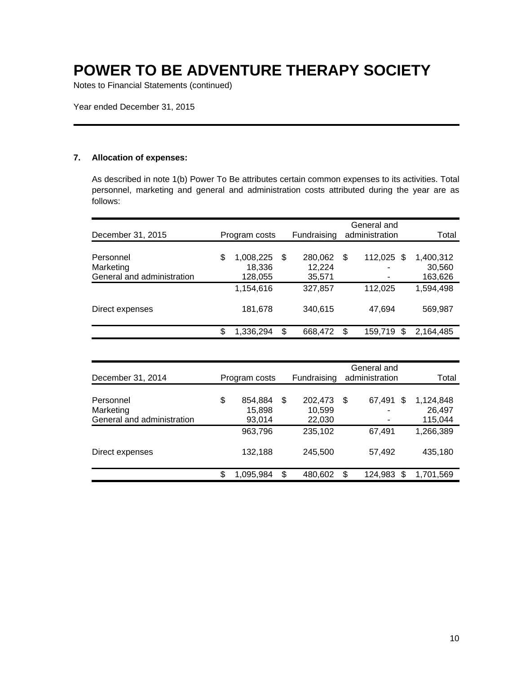Notes to Financial Statements (continued)

Year ended December 31, 2015

### **7. Allocation of expenses:**

As described in note 1(b) Power To Be attributes certain common expenses to its activities. Total personnel, marketing and general and administration costs attributed during the year are as follows:

| December 31, 2015                                    | Program costs                        |    | Fundraising                 |    | General and<br>administration | Total                          |
|------------------------------------------------------|--------------------------------------|----|-----------------------------|----|-------------------------------|--------------------------------|
| Personnel<br>Marketing<br>General and administration | \$<br>1,008,225<br>18,336<br>128,055 | \$ | 280,062<br>12,224<br>35,571 | \$ | 112,025 \$<br>۰               | 1,400,312<br>30,560<br>163,626 |
|                                                      | 1,154,616                            |    | 327,857                     |    | 112,025                       | 1,594,498                      |
| Direct expenses                                      | 181,678                              |    | 340,615                     |    | 47,694                        | 569,987                        |
|                                                      | \$<br>1,336,294                      | S  | 668,472                     | S  | 159,719<br>S                  | 2,164,485                      |

| December 31, 2014                                    | Program costs                     |   | Fundraising                 | General and<br>administration | Total                          |
|------------------------------------------------------|-----------------------------------|---|-----------------------------|-------------------------------|--------------------------------|
| Personnel<br>Marketing<br>General and administration | \$<br>854,884<br>15,898<br>93,014 | S | 202,473<br>10,599<br>22,030 | \$<br>\$<br>67,491<br>۰       | 1,124,848<br>26,497<br>115,044 |
|                                                      | 963,796                           |   | 235,102                     | 67.491                        | 1,266,389                      |
| Direct expenses                                      | 132,188                           |   | 245,500                     | 57,492                        | 435,180                        |
|                                                      | 1,095,984                         | S | 480.602                     | \$<br>124.983<br>S            | 1.701.569                      |